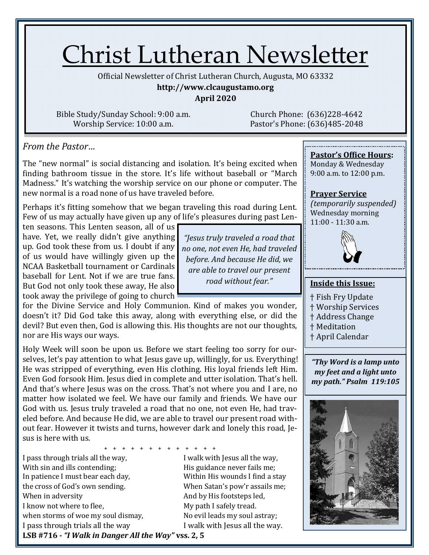# Christ Lutheran Newsletter

Official Newsletter of Christ Lutheran Church, Augusta, MO 63332

#### **http://www.clcaugustamo.org**

**April 2020**

Bible Study/Sunday School: 9:00 a.m. Worship Service: 10:00 a.m.

Church Phone: (636)228-4642 Pastor's Phone: (636)485-2048

*From the Pastor…* 

The "new normal" is social distancing and isolation. It's being excited when finding bathroom tissue in the store. It's life without baseball or "March Madness." It's watching the worship service on our phone or computer. The new normal is a road none of us have traveled before.

Perhaps it's fitting somehow that we began traveling this road during Lent. Few of us may actually have given up any of life's pleasures during past Len-

ten seasons. This Lenten season, all of us have. Yet, we really didn't give anything up. God took these from us. I doubt if any of us would have willingly given up the NCAA Basketball tournament or Cardinals baseball for Lent. Not if we are true fans. But God not only took these away, He also took away the privilege of going to church

for the Divine Service and Holy Communion. Kind of makes you wonder, doesn't it? Did God take this away, along with everything else, or did the devil? But even then, God is allowing this. His thoughts are not our thoughts, nor are His ways our ways.

Holy Week will soon be upon us. Before we start feeling too sorry for ourselves, let's pay attention to what Jesus gave up, willingly, for us. Everything! He was stripped of everything, even His clothing. His loyal friends left Him. Even God forsook Him. Jesus died in complete and utter isolation. That's hell. And that's where Jesus was on the cross. That's not where you and I are, no matter how isolated we feel. We have our family and friends. We have our God with us. Jesus truly traveled a road that no one, not even He, had traveled before. And because He did, we are able to travel our present road without fear. However it twists and turns, however dark and lonely this road, Jesus is here with us.

+ + + + + + + + + + + + + I pass through trials all the way, I walk with Jesus all the way, With sin and ills contending; The Mis guidance never fails me; In patience I must bear each day, Within His wounds I find a stay the cross of God's own sending. When Satan's pow'r assails me; When in adversity and by His footsteps led, I know not where to flee, My path I safely tread. when storms of woe my soul dismay, No evil leads my soul astray; I pass through trials all the way I walk with Jesus all the way.

*no one, not even He, had traveled before. And because He did, we road without fear."*

*"Jesus truly traveled a road that are able to travel our present* 

## **Pastor's Office Hours:**

Monday & Wednesday 9:00 a.m. to 12:00 p.m.

## **Prayer Service**

*(temporarily suspended)* Wednesday morning  $11:00 - 11:30$  a.m.



### **Inside this Issue:**

- † Fish Fry Update
- † Worship Services
- † Address Change
- † Meditation
- † April Calendar

*"Thy Word is a lamp unto my feet and a light unto my path." Psalm 119:105*



**LSB #716 -** *"I Walk in Danger All the Way"* **vss. 2, 5**